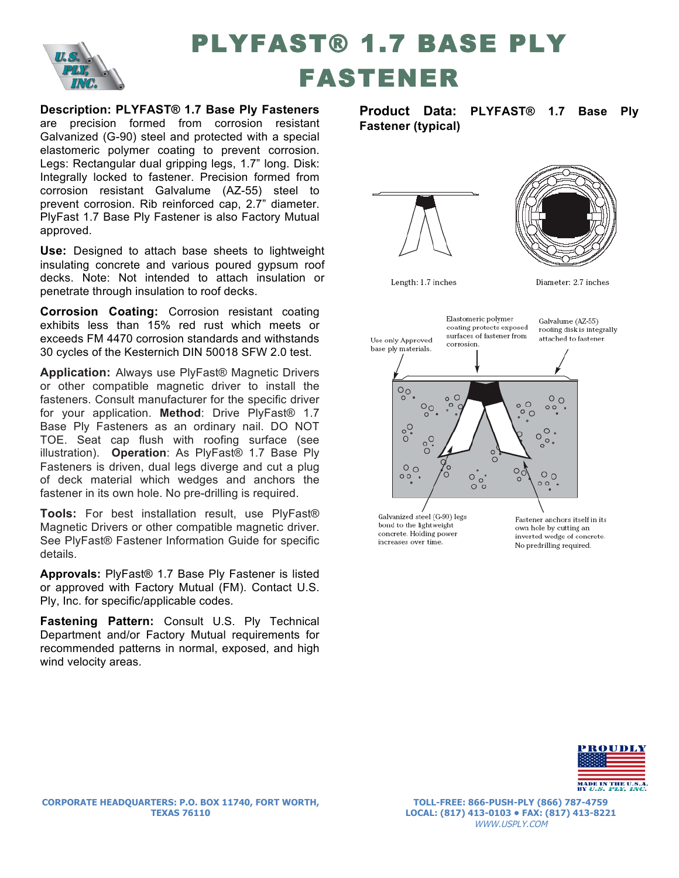

## PLYFAST® 1.7 BASE PLY FASTENER

**Description: PLYFAST® 1.7 Base Ply Fasteners**  are precision formed from corrosion resistant Galvanized (G-90) steel and protected with a special elastomeric polymer coating to prevent corrosion. Legs: Rectangular dual gripping legs, 1.7" long. Disk: Integrally locked to fastener. Precision formed from corrosion resistant Galvalume (AZ-55) steel to prevent corrosion. Rib reinforced cap, 2.7" diameter. PlyFast 1.7 Base Ply Fastener is also Factory Mutual approved.

**Use:** Designed to attach base sheets to lightweight insulating concrete and various poured gypsum roof decks. Note: Not intended to attach insulation or penetrate through insulation to roof decks.

**Corrosion Coating:** Corrosion resistant coating exhibits less than 15% red rust which meets or exceeds FM 4470 corrosion standards and withstands 30 cycles of the Kesternich DIN 50018 SFW 2.0 test.

**Application:** Always use PlyFast® Magnetic Drivers or other compatible magnetic driver to install the fasteners. Consult manufacturer for the specific driver for your application. **Method**: Drive PlyFast® 1.7 Base Ply Fasteners as an ordinary nail. DO NOT TOE. Seat cap flush with roofing surface (see illustration). **Operation**: As PlyFast® 1.7 Base Ply Fasteners is driven, dual legs diverge and cut a plug of deck material which wedges and anchors the fastener in its own hole. No pre-drilling is required.

**Tools:** For best installation result, use PlyFast® Magnetic Drivers or other compatible magnetic driver. See PlyFast® Fastener Information Guide for specific details.

**Approvals:** PlyFast® 1.7 Base Ply Fastener is listed or approved with Factory Mutual (FM). Contact U.S. Ply, Inc. for specific/applicable codes.

**Fastening Pattern:** Consult U.S. Ply Technical Department and/or Factory Mutual requirements for recommended patterns in normal, exposed, and high wind velocity areas.

**Product Data: PLYFAST® 1.7 Base Ply Fastener (typical)** 





Length: 1.7 inches

Diameter: 2.7 inches



bond to the lightweight concrete. Holding power increases over time.

own hole by cutting an inverted wedge of concrete. No predrilling required.



**TOLL-FREE: 866-PUSH-PLY (866) 787-4759 LOCAL: (817) 413-0103 • FAX: (817) 413-8221** WWW.USPLY.COM